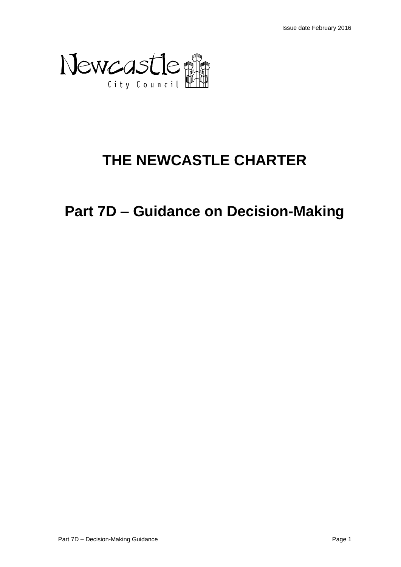

# **THE NEWCASTLE CHARTER**

**Part 7D – Guidance on Decision-Making**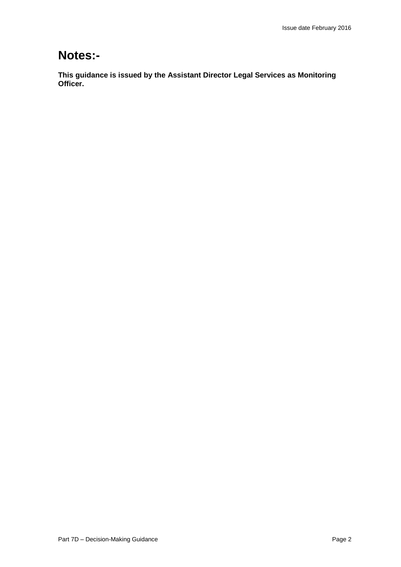## **Notes:-**

**This guidance is issued by the Assistant Director Legal Services as Monitoring Officer.**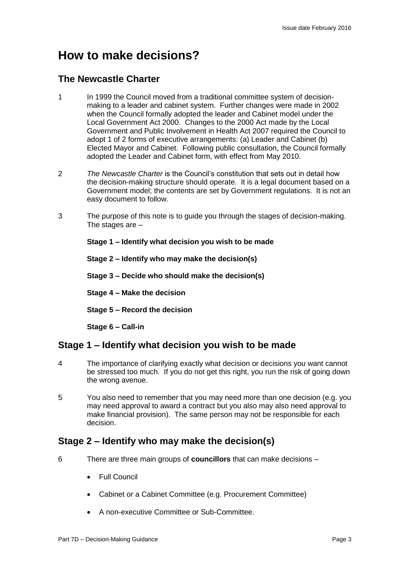## **How to make decisions?**

## **The Newcastle Charter**

- 1 In 1999 the Council moved from a traditional committee system of decisionmaking to a leader and cabinet system. Further changes were made in 2002 when the Council formally adopted the leader and Cabinet model under the Local Government Act 2000. Changes to the 2000 Act made by the Local Government and Public Involvement in Health Act 2007 required the Council to adopt 1 of 2 forms of executive arrangements: (a) Leader and Cabinet (b) Elected Mayor and Cabinet. Following public consultation, the Council formally adopted the Leader and Cabinet form, with effect from May 2010.
- 2 *The Newcastle Charter* is the Council's constitution that sets out in detail how the decision-making structure should operate. It is a legal document based on a Government model; the contents are set by Government regulations. It is not an easy document to follow.
- 3 The purpose of this note is to guide you through the stages of decision-making. The stages are –

**Stage 1 – Identify what decision you wish to be made**

**Stage 2 – Identify who may make the decision(s)**

**Stage 3 – Decide who should make the decision(s)**

**Stage 4 – Make the decision**

**Stage 5 – Record the decision**

**Stage 6 – Call-in**

## **Stage 1 – Identify what decision you wish to be made**

- 4 The importance of clarifying exactly what decision or decisions you want cannot be stressed too much. If you do not get this right, you run the risk of going down the wrong avenue.
- 5 You also need to remember that you may need more than one decision (e.g. you may need approval to award a contract but you also may also need approval to make financial provision). The same person may not be responsible for each decision.

## **Stage 2 – Identify who may make the decision(s)**

- 6 There are three main groups of **councillors** that can make decisions
	- Full Council
	- Cabinet or a Cabinet Committee (e.g. Procurement Committee)
	- A non-executive Committee or Sub-Committee.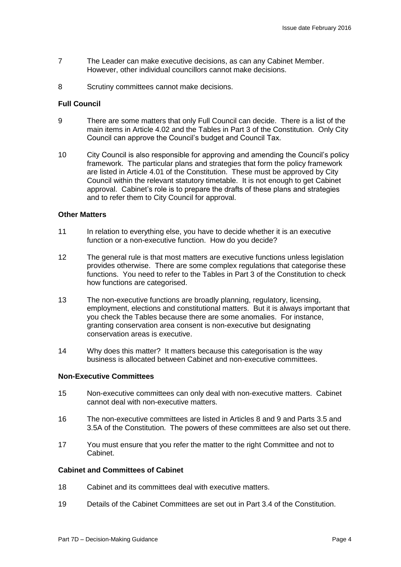- 7 The Leader can make executive decisions, as can any Cabinet Member. However, other individual councillors cannot make decisions.
- 8 Scrutiny committees cannot make decisions.

#### **Full Council**

- 9 There are some matters that only Full Council can decide. There is a list of the main items in Article 4.02 and the Tables in Part 3 of the Constitution. Only City Council can approve the Council's budget and Council Tax.
- 10 City Council is also responsible for approving and amending the Council's policy framework. The particular plans and strategies that form the policy framework are listed in Article 4.01 of the Constitution. These must be approved by City Council within the relevant statutory timetable. It is not enough to get Cabinet approval. Cabinet's role is to prepare the drafts of these plans and strategies and to refer them to City Council for approval.

#### **Other Matters**

- 11 In relation to everything else, you have to decide whether it is an executive function or a non-executive function. How do you decide?
- 12 The general rule is that most matters are executive functions unless legislation provides otherwise. There are some complex regulations that categorise these functions. You need to refer to the Tables in Part 3 of the Constitution to check how functions are categorised.
- 13 The non-executive functions are broadly planning, regulatory, licensing, employment, elections and constitutional matters. But it is always important that you check the Tables because there are some anomalies. For instance, granting conservation area consent is non-executive but designating conservation areas is executive.
- 14 Why does this matter? It matters because this categorisation is the way business is allocated between Cabinet and non-executive committees.

#### **Non-Executive Committees**

- 15 Non-executive committees can only deal with non-executive matters. Cabinet cannot deal with non-executive matters.
- 16 The non-executive committees are listed in Articles 8 and 9 and Parts 3.5 and 3.5A of the Constitution. The powers of these committees are also set out there.
- 17 You must ensure that you refer the matter to the right Committee and not to Cabinet.

#### **Cabinet and Committees of Cabinet**

- 18 Cabinet and its committees deal with executive matters.
- 19 Details of the Cabinet Committees are set out in Part 3.4 of the Constitution.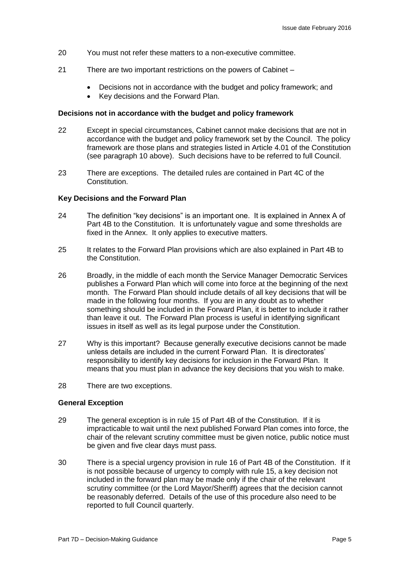- 20 You must not refer these matters to a non-executive committee.
- 21 There are two important restrictions on the powers of Cabinet
	- Decisions not in accordance with the budget and policy framework; and
	- Key decisions and the Forward Plan.

#### **Decisions not in accordance with the budget and policy framework**

- 22 Except in special circumstances, Cabinet cannot make decisions that are not in accordance with the budget and policy framework set by the Council. The policy framework are those plans and strategies listed in Article 4.01 of the Constitution (see paragraph 10 above). Such decisions have to be referred to full Council.
- 23 There are exceptions. The detailed rules are contained in Part 4C of the Constitution.

#### **Key Decisions and the Forward Plan**

- 24 The definition "key decisions" is an important one. It is explained in Annex A of Part 4B to the Constitution. It is unfortunately vague and some thresholds are fixed in the Annex. It only applies to executive matters.
- 25 It relates to the Forward Plan provisions which are also explained in Part 4B to the Constitution.
- 26 Broadly, in the middle of each month the Service Manager Democratic Services publishes a Forward Plan which will come into force at the beginning of the next month. The Forward Plan should include details of all key decisions that will be made in the following four months. If you are in any doubt as to whether something should be included in the Forward Plan, it is better to include it rather than leave it out. The Forward Plan process is useful in identifying significant issues in itself as well as its legal purpose under the Constitution.
- 27 Why is this important? Because generally executive decisions cannot be made unless details are included in the current Forward Plan. It is directorates' responsibility to identify key decisions for inclusion in the Forward Plan. It means that you must plan in advance the key decisions that you wish to make.
- 28 There are two exceptions.

#### **General Exception**

- 29 The general exception is in rule 15 of Part 4B of the Constitution. If it is impracticable to wait until the next published Forward Plan comes into force, the chair of the relevant scrutiny committee must be given notice, public notice must be given and five clear days must pass.
- 30 There is a special urgency provision in rule 16 of Part 4B of the Constitution. If it is not possible because of urgency to comply with rule 15, a key decision not included in the forward plan may be made only if the chair of the relevant scrutiny committee (or the Lord Mayor/Sheriff) agrees that the decision cannot be reasonably deferred. Details of the use of this procedure also need to be reported to full Council quarterly.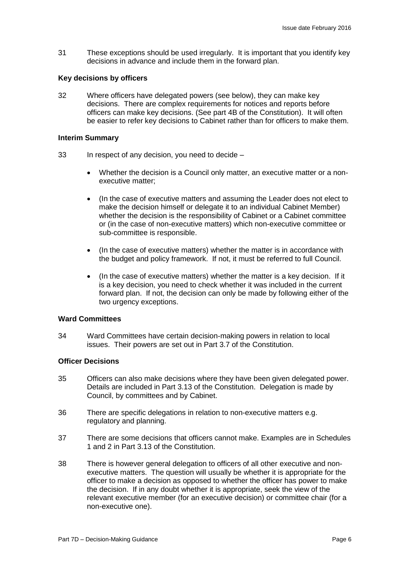31 These exceptions should be used irregularly. It is important that you identify key decisions in advance and include them in the forward plan.

#### **Key decisions by officers**

32 Where officers have delegated powers (see below), they can make key decisions. There are complex requirements for notices and reports before officers can make key decisions. (See part 4B of the Constitution). It will often be easier to refer key decisions to Cabinet rather than for officers to make them.

#### **Interim Summary**

- 33 In respect of any decision, you need to decide
	- Whether the decision is a Council only matter, an executive matter or a nonexecutive matter;
	- (In the case of executive matters and assuming the Leader does not elect to make the decision himself or delegate it to an individual Cabinet Member) whether the decision is the responsibility of Cabinet or a Cabinet committee or (in the case of non-executive matters) which non-executive committee or sub-committee is responsible.
	- (In the case of executive matters) whether the matter is in accordance with the budget and policy framework. If not, it must be referred to full Council.
	- (In the case of executive matters) whether the matter is a key decision. If it is a key decision, you need to check whether it was included in the current forward plan. If not, the decision can only be made by following either of the two urgency exceptions.

#### **Ward Committees**

34 Ward Committees have certain decision-making powers in relation to local issues. Their powers are set out in Part 3.7 of the Constitution.

#### **Officer Decisions**

- 35 Officers can also make decisions where they have been given delegated power. Details are included in Part 3.13 of the Constitution. Delegation is made by Council, by committees and by Cabinet.
- 36 There are specific delegations in relation to non-executive matters e.g. regulatory and planning.
- 37 There are some decisions that officers cannot make. Examples are in Schedules 1 and 2 in Part 3.13 of the Constitution.
- 38 There is however general delegation to officers of all other executive and nonexecutive matters. The question will usually be whether it is appropriate for the officer to make a decision as opposed to whether the officer has power to make the decision. If in any doubt whether it is appropriate, seek the view of the relevant executive member (for an executive decision) or committee chair (for a non-executive one).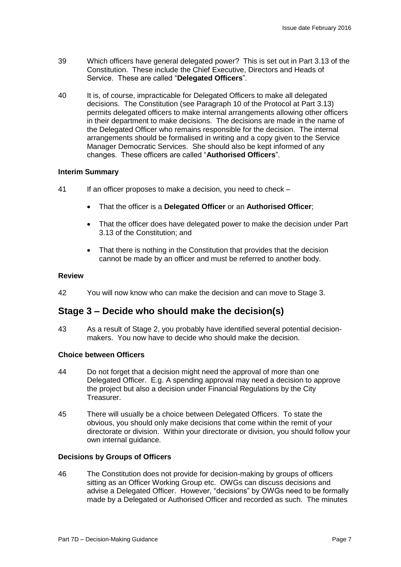- 39 Which officers have general delegated power? This is set out in Part 3.13 of the Constitution. These include the Chief Executive, Directors and Heads of Service. These are called "**Delegated Officers**".
- 40 It is, of course, impracticable for Delegated Officers to make all delegated decisions. The Constitution (see Paragraph 10 of the Protocol at Part 3.13) permits delegated officers to make internal arrangements allowing other officers in their department to make decisions. The decisions are made in the name of the Delegated Officer who remains responsible for the decision. The internal arrangements should be formalised in writing and a copy given to the Service Manager Democratic Services. She should also be kept informed of any changes. These officers are called "**Authorised Officers**".

#### **Interim Summary**

- 41 If an officer proposes to make a decision, you need to check
	- That the officer is a **Delegated Officer** or an **Authorised Officer**;
	- That the officer does have delegated power to make the decision under Part 3.13 of the Constitution; and
	- That there is nothing in the Constitution that provides that the decision cannot be made by an officer and must be referred to another body.

#### **Review**

42 You will now know who can make the decision and can move to Stage 3.

## **Stage 3 – Decide who should make the decision(s)**

43 As a result of Stage 2, you probably have identified several potential decisionmakers. You now have to decide who should make the decision.

#### **Choice between Officers**

- 44 Do not forget that a decision might need the approval of more than one Delegated Officer. E.g. A spending approval may need a decision to approve the project but also a decision under Financial Regulations by the City Treasurer.
- 45 There will usually be a choice between Delegated Officers. To state the obvious, you should only make decisions that come within the remit of your directorate or division. Within your directorate or division, you should follow your own internal guidance.

#### **Decisions by Groups of Officers**

46 The Constitution does not provide for decision-making by groups of officers sitting as an Officer Working Group etc. OWGs can discuss decisions and advise a Delegated Officer. However, "decisions" by OWGs need to be formally made by a Delegated or Authorised Officer and recorded as such. The minutes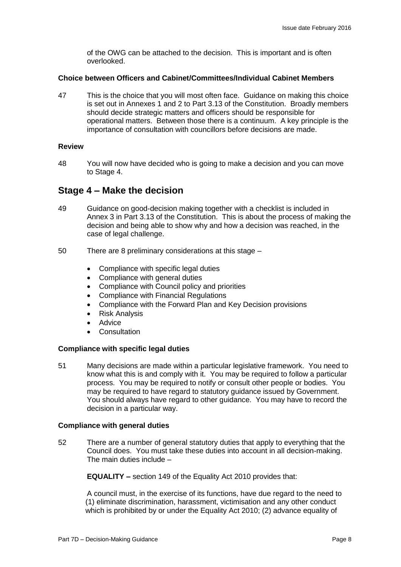of the OWG can be attached to the decision. This is important and is often overlooked.

#### **Choice between Officers and Cabinet/Committees/Individual Cabinet Members**

47 This is the choice that you will most often face. Guidance on making this choice is set out in Annexes 1 and 2 to Part 3.13 of the Constitution. Broadly members should decide strategic matters and officers should be responsible for operational matters. Between those there is a continuum. A key principle is the importance of consultation with councillors before decisions are made.

#### **Review**

48 You will now have decided who is going to make a decision and you can move to Stage 4.

## **Stage 4 – Make the decision**

- 49 Guidance on good-decision making together with a checklist is included in Annex 3 in Part 3.13 of the Constitution. This is about the process of making the decision and being able to show why and how a decision was reached, in the case of legal challenge.
- 50 There are 8 preliminary considerations at this stage
	- Compliance with specific legal duties
	- Compliance with general duties
	- Compliance with Council policy and priorities
	- Compliance with Financial Regulations
	- Compliance with the Forward Plan and Key Decision provisions
	- Risk Analysis
	- Advice
	- **Consultation**

#### **Compliance with specific legal duties**

51 Many decisions are made within a particular legislative framework. You need to know what this is and comply with it. You may be required to follow a particular process. You may be required to notify or consult other people or bodies. You may be required to have regard to statutory guidance issued by Government. You should always have regard to other guidance. You may have to record the decision in a particular way.

#### **Compliance with general duties**

52 There are a number of general statutory duties that apply to everything that the Council does. You must take these duties into account in all decision-making. The main duties include –

**EQUALITY –** section 149 of the Equality Act 2010 provides that:

A council must, in the exercise of its functions, have due regard to the need to (1) eliminate discrimination, harassment, victimisation and any other conduct which is prohibited by or under the Equality Act 2010; (2) advance equality of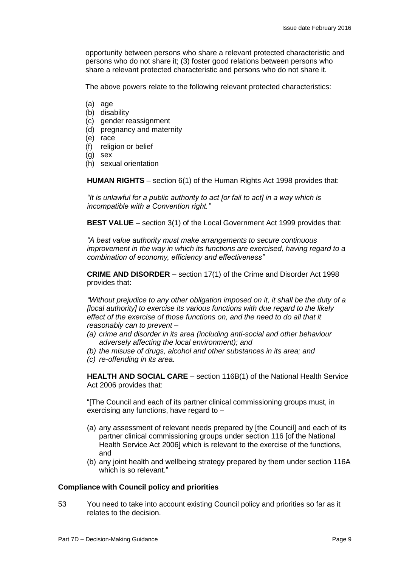opportunity between persons who share a relevant protected characteristic and persons who do not share it; (3) foster good relations between persons who share a relevant protected characteristic and persons who do not share it.

The above powers relate to the following relevant protected characteristics:

- (a) age
- (b) disability
- (c) gender reassignment
- (d) pregnancy and maternity
- (e) race
- (f) religion or belief
- (g) sex
- (h) sexual orientation

**HUMAN RIGHTS** – section 6(1) of the Human Rights Act 1998 provides that:

*"It is unlawful for a public authority to act [or fail to act] in a way which is incompatible with a Convention right."*

**BEST VALUE** – section 3(1) of the Local Government Act 1999 provides that:

*"A best value authority must make arrangements to secure continuous improvement in the way in which its functions are exercised, having regard to a combination of economy, efficiency and effectiveness"*

**CRIME AND DISORDER** – section 17(1) of the Crime and Disorder Act 1998 provides that:

*"Without prejudice to any other obligation imposed on it, it shall be the duty of a [local authority] to exercise its various functions with due regard to the likely effect of the exercise of those functions on, and the need to do all that it reasonably can to prevent –*

- *(a) crime and disorder in its area (including anti-social and other behaviour adversely affecting the local environment); and*
- *(b) the misuse of drugs, alcohol and other substances in its area; and (c) re-offending in its area.*

**HEALTH AND SOCIAL CARE** – section 116B(1) of the National Health Service Act 2006 provides that:

"[The Council and each of its partner clinical commissioning groups must, in exercising any functions, have regard to –

- (a) any assessment of relevant needs prepared by [the Council] and each of its partner clinical commissioning groups under section 116 [of the National Health Service Act 2006] which is relevant to the exercise of the functions, and
- (b) any joint health and wellbeing strategy prepared by them under section 116A which is so relevant."

#### **Compliance with Council policy and priorities**

53 You need to take into account existing Council policy and priorities so far as it relates to the decision.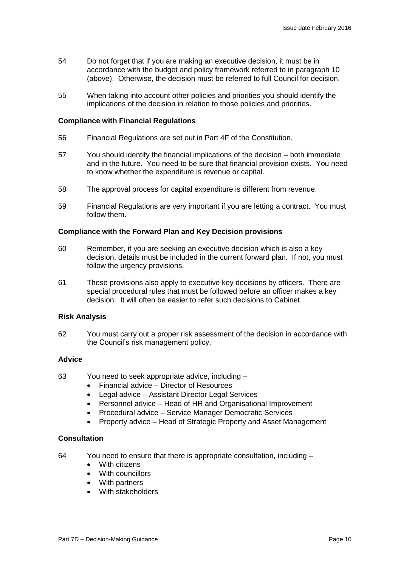- 54 Do not forget that if you are making an executive decision, it must be in accordance with the budget and policy framework referred to in paragraph 10 (above). Otherwise, the decision must be referred to full Council for decision.
- 55 When taking into account other policies and priorities you should identify the implications of the decision in relation to those policies and priorities.

#### **Compliance with Financial Regulations**

- 56 Financial Regulations are set out in Part 4F of the Constitution.
- 57 You should identify the financial implications of the decision both immediate and in the future. You need to be sure that financial provision exists. You need to know whether the expenditure is revenue or capital.
- 58 The approval process for capital expenditure is different from revenue.
- 59 Financial Regulations are very important if you are letting a contract. You must follow them.

#### **Compliance with the Forward Plan and Key Decision provisions**

- 60 Remember, if you are seeking an executive decision which is also a key decision, details must be included in the current forward plan. If not, you must follow the urgency provisions.
- 61 These provisions also apply to executive key decisions by officers. There are special procedural rules that must be followed before an officer makes a key decision. It will often be easier to refer such decisions to Cabinet.

#### **Risk Analysis**

62 You must carry out a proper risk assessment of the decision in accordance with the Council's risk management policy.

#### **Advice**

- 63 You need to seek appropriate advice, including
	- Financial advice Director of Resources
	- Legal advice Assistant Director Legal Services
	- Personnel advice Head of HR and Organisational Improvement
	- Procedural advice Service Manager Democratic Services
	- Property advice Head of Strategic Property and Asset Management

#### **Consultation**

- 64 You need to ensure that there is appropriate consultation, including
	- With citizens
	- With councillors
	- With partners
	- With stakeholders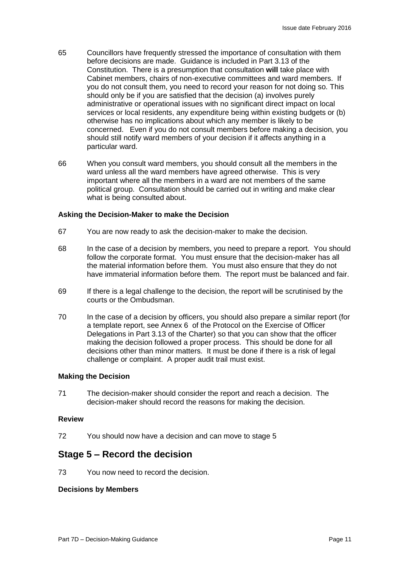- 65 Councillors have frequently stressed the importance of consultation with them before decisions are made. Guidance is included in Part 3.13 of the Constitution. There is a presumption that consultation **will** take place with Cabinet members, chairs of non-executive committees and ward members. If you do not consult them, you need to record your reason for not doing so. This should only be if you are satisfied that the decision (a) involves purely administrative or operational issues with no significant direct impact on local services or local residents, any expenditure being within existing budgets or (b) otherwise has no implications about which any member is likely to be concerned. Even if you do not consult members before making a decision, you should still notify ward members of your decision if it affects anything in a particular ward.
- 66 When you consult ward members, you should consult all the members in the ward unless all the ward members have agreed otherwise. This is very important where all the members in a ward are not members of the same political group. Consultation should be carried out in writing and make clear what is being consulted about.

#### **Asking the Decision-Maker to make the Decision**

- 67 You are now ready to ask the decision-maker to make the decision.
- 68 In the case of a decision by members, you need to prepare a report. You should follow the corporate format. You must ensure that the decision-maker has all the material information before them. You must also ensure that they do not have immaterial information before them. The report must be balanced and fair.
- 69 If there is a legal challenge to the decision, the report will be scrutinised by the courts or the Ombudsman.
- 70 In the case of a decision by officers, you should also prepare a similar report (for a template report, see Annex 6 of the Protocol on the Exercise of Officer Delegations in Part 3.13 of the Charter) so that you can show that the officer making the decision followed a proper process. This should be done for all decisions other than minor matters. It must be done if there is a risk of legal challenge or complaint. A proper audit trail must exist.

#### **Making the Decision**

71 The decision-maker should consider the report and reach a decision. The decision-maker should record the reasons for making the decision.

#### **Review**

72 You should now have a decision and can move to stage 5

## **Stage 5 – Record the decision**

73 You now need to record the decision.

#### **Decisions by Members**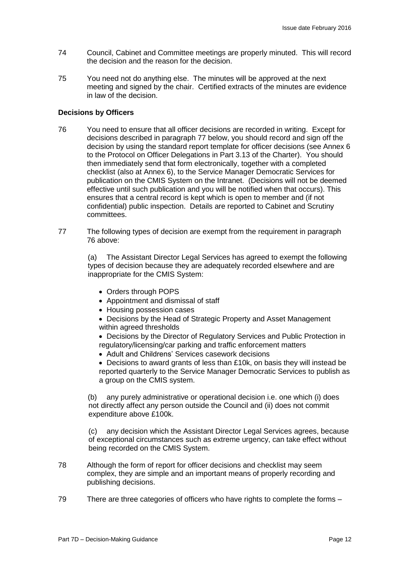- 74 Council, Cabinet and Committee meetings are properly minuted. This will record the decision and the reason for the decision.
- 75 You need not do anything else. The minutes will be approved at the next meeting and signed by the chair. Certified extracts of the minutes are evidence in law of the decision.

#### **Decisions by Officers**

- 76 You need to ensure that all officer decisions are recorded in writing. Except for decisions described in paragraph 77 below, you should record and sign off the decision by using the standard report template for officer decisions (see Annex 6 to the Protocol on Officer Delegations in Part 3.13 of the Charter). You should then immediately send that form electronically, together with a completed checklist (also at Annex 6), to the Service Manager Democratic Services for publication on the CMIS System on the Intranet. (Decisions will not be deemed effective until such publication and you will be notified when that occurs). This ensures that a central record is kept which is open to member and (if not confidential) public inspection. Details are reported to Cabinet and Scrutiny committees.
- 77 The following types of decision are exempt from the requirement in paragraph 76 above:

(a) The Assistant Director Legal Services has agreed to exempt the following types of decision because they are adequately recorded elsewhere and are inappropriate for the CMIS System:

- Orders through POPS
- Appointment and dismissal of staff
- Housing possession cases
- Decisions by the Head of Strategic Property and Asset Management within agreed thresholds

 Decisions by the Director of Regulatory Services and Public Protection in regulatory/licensing/car parking and traffic enforcement matters

Adult and Childrens' Services casework decisions

 Decisions to award grants of less than £10k, on basis they will instead be reported quarterly to the Service Manager Democratic Services to publish as a group on the CMIS system.

(b) any purely administrative or operational decision i.e. one which (i) does not directly affect any person outside the Council and (ii) does not commit expenditure above £100k.

(c) any decision which the Assistant Director Legal Services agrees, because of exceptional circumstances such as extreme urgency, can take effect without being recorded on the CMIS System.

- 78 Although the form of report for officer decisions and checklist may seem complex, they are simple and an important means of properly recording and publishing decisions.
- 79 There are three categories of officers who have rights to complete the forms –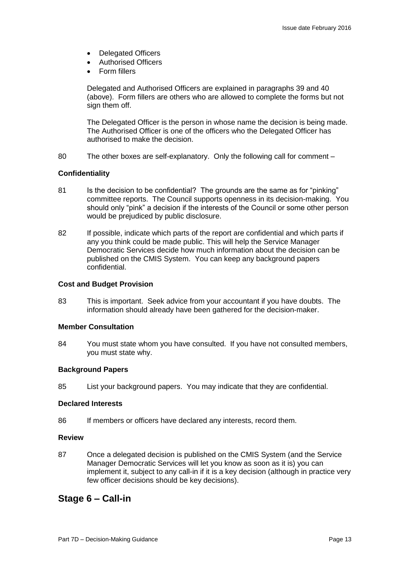- Delegated Officers
- Authorised Officers
- Form fillers

Delegated and Authorised Officers are explained in paragraphs 39 and 40 (above). Form fillers are others who are allowed to complete the forms but not sign them off.

The Delegated Officer is the person in whose name the decision is being made. The Authorised Officer is one of the officers who the Delegated Officer has authorised to make the decision.

80 The other boxes are self-explanatory. Only the following call for comment –

#### **Confidentiality**

- 81 Is the decision to be confidential? The grounds are the same as for "pinking" committee reports. The Council supports openness in its decision-making. You should only "pink" a decision if the interests of the Council or some other person would be prejudiced by public disclosure.
- 82 If possible, indicate which parts of the report are confidential and which parts if any you think could be made public. This will help the Service Manager Democratic Services decide how much information about the decision can be published on the CMIS System. You can keep any background papers confidential.

#### **Cost and Budget Provision**

83 This is important. Seek advice from your accountant if you have doubts. The information should already have been gathered for the decision-maker.

#### **Member Consultation**

84 You must state whom you have consulted. If you have not consulted members, you must state why.

#### **Background Papers**

85 List your background papers. You may indicate that they are confidential.

#### **Declared Interests**

86 If members or officers have declared any interests, record them.

#### **Review**

87 Once a delegated decision is published on the CMIS System (and the Service Manager Democratic Services will let you know as soon as it is) you can implement it, subject to any call-in if it is a key decision (although in practice very few officer decisions should be key decisions).

## **Stage 6 – Call-in**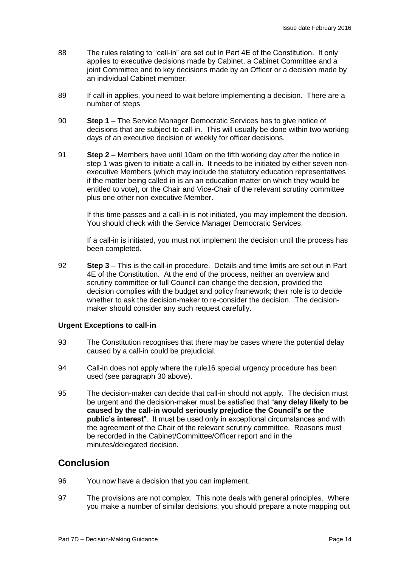- 88 The rules relating to "call-in" are set out in Part 4E of the Constitution. It only applies to executive decisions made by Cabinet, a Cabinet Committee and a joint Committee and to key decisions made by an Officer or a decision made by an individual Cabinet member.
- 89 If call-in applies, you need to wait before implementing a decision. There are a number of steps
- 90 **Step 1** The Service Manager Democratic Services has to give notice of decisions that are subject to call-in. This will usually be done within two working days of an executive decision or weekly for officer decisions.
- 91 **Step 2** Members have until 10am on the fifth working day after the notice in step 1 was given to initiate a call-in. It needs to be initiated by either seven nonexecutive Members (which may include the statutory education representatives if the matter being called in is an an education matter on which they would be entitled to vote), or the Chair and Vice-Chair of the relevant scrutiny committee plus one other non-executive Member.

If this time passes and a call-in is not initiated, you may implement the decision. You should check with the Service Manager Democratic Services.

If a call-in is initiated, you must not implement the decision until the process has been completed.

92 **Step 3** – This is the call-in procedure. Details and time limits are set out in Part 4E of the Constitution. At the end of the process, neither an overview and scrutiny committee or full Council can change the decision, provided the decision complies with the budget and policy framework; their role is to decide whether to ask the decision-maker to re-consider the decision. The decisionmaker should consider any such request carefully.

#### **Urgent Exceptions to call-in**

- 93 The Constitution recognises that there may be cases where the potential delay caused by a call-in could be prejudicial.
- 94 Call-in does not apply where the rule16 special urgency procedure has been used (see paragraph 30 above).
- 95 The decision-maker can decide that call-in should not apply. The decision must be urgent and the decision-maker must be satisfied that "**any delay likely to be caused by the call-in would seriously prejudice the Council's or the public's interest**". It must be used only in exceptional circumstances and with the agreement of the Chair of the relevant scrutiny committee. Reasons must be recorded in the Cabinet/Committee/Officer report and in the minutes/delegated decision.

## **Conclusion**

- 96 You now have a decision that you can implement.
- 97 The provisions are not complex. This note deals with general principles. Where you make a number of similar decisions, you should prepare a note mapping out